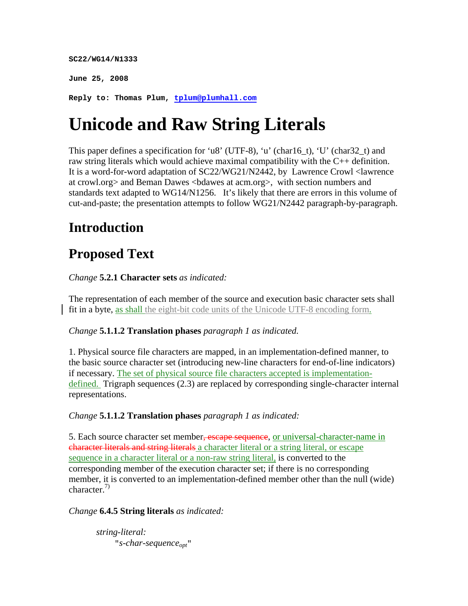**SC22/WG14/N1333** 

**June 25, 2008** 

**Reply to: Thomas Plum, tplum@plumhall.com**

# **Unicode and Raw String Literals**

This paper defines a specification for 'u8' (UTF-8), 'u' (char16\_t), 'U' (char32\_t) and raw string literals which would achieve maximal compatibility with the C++ definition. It is a word-for-word adaptation of SC22/WG21/N2442, by Lawrence Crowl <lawrence at crowl.org> and Beman Dawes <bdawes at acm.org>, with section numbers and standards text adapted to WG14/N1256. It's likely that there are errors in this volume of cut-and-paste; the presentation attempts to follow WG21/N2442 paragraph-by-paragraph.

# **Introduction**

# **Proposed Text**

*Change* **5.2.1 Character sets** *as indicated:*

The representation of each member of the source and execution basic character sets shall fit in a byte, as shall the eight-bit code units of the Unicode UTF-8 encoding form.

# *Change* **5.1.1.2 Translation phases** *paragraph 1 as indicated.*

1. Physical source file characters are mapped, in an implementation-defined manner, to the basic source character set (introducing new-line characters for end-of-line indicators) if necessary. The set of physical source file characters accepted is implementationdefined. Trigraph sequences (2.3) are replaced by corresponding single-character internal representations.

### *Change* **5.1.1.2 Translation phases** *paragraph 1 as indicated:*

5. Each source character set member, escape sequence, or universal-character-name in character literals and string literals a character literal or a string literal, or escape sequence in a character literal or a non-raw string literal, is converted to the corresponding member of the execution character set; if there is no corresponding member, it is converted to an implementation-defined member other than the null (wide) character.<sup>7)</sup>

### *Change* **6.4.5 String literals** *as indicated:*

*string-literal:* "*s-char-sequenceopt*"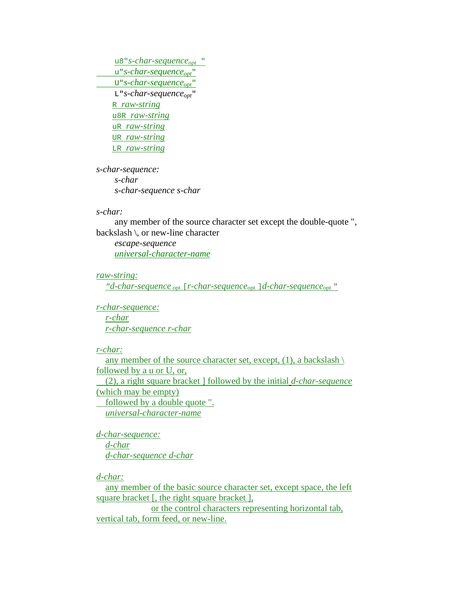u8"*s-char-sequence*<sub>opt</sub> " u"*s-char-sequenceopt*"U"*s-char-sequenceopt*" L"*s-char-sequence*<sub>opt</sub>" R *raw-string* u8R *raw-string* uR *raw-string* UR *raw-string* LR *raw-string*

*s-char-sequence: s-char s-char-sequence s-char*

#### *s-char:*

 any member of the source character set except the double-quote ", backslash \, or new-line character

 *escape-sequence universal-character-name*

#### *raw-string:*

 *"d-char-sequence* opt [*r-char-sequence*opt ]*d-char-sequence*opt "

*r-char-sequence: r-char r-char-sequence r-char*

#### *r-char:*

any member of the source character set, except,  $(1)$ , a backslash  $\langle$ followed by a u or U, or, (2), a right square bracket ] followed by the initial *d-char-sequence* (which may be empty) followed by a double quote ". *universal-character-name*

*d-char-sequence: d-char d-char-sequence d-char*

*d-char:*

 any member of the basic source character set, except space, the left square bracket [, the right square bracket ],

 or the control characters representing horizontal tab, vertical tab, form feed, or new-line.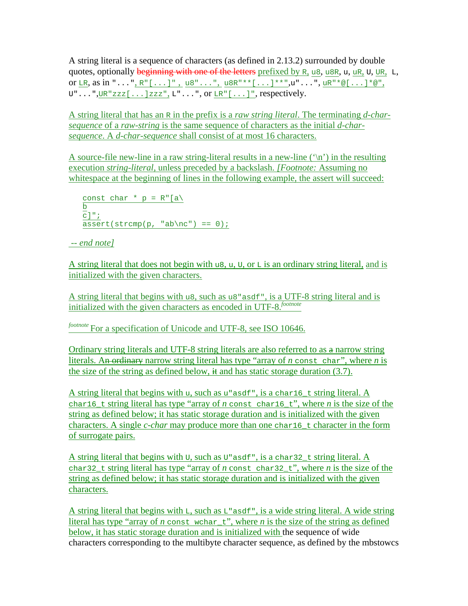A string literal is a sequence of characters (as defined in 2.13.2) surrounded by double quotes, optionally beginning with one of the letters prefixed by R, u8, u8R, u, uR, U, UR, L, or LR, as in "...", R"[...]", u8"...", u8R"\*\*[...]\*\*",u"...", uR"\*@[...]\*@",  $U^{\prime\prime}$ ...", UR "zzz $[...]$ zzz", L"...", or LR" $[...]$ ", respectively.

A string literal that has an R in the prefix is a *raw string literal*. The terminating *d-charsequence* of a *raw-string* is the same sequence of characters as the initial *d-charsequence*. A *d-char-sequence* shall consist of at most 16 characters.

A source-file new-line in a raw string-literal results in a new-line  $(\n\cdot\)$  in the resulting execution *string-literal*, unless preceded by a backslash. *[Footnote:* Assuming no whitespace at the beginning of lines in the following example, the assert will succeed:

```
const char * p = R''[a] b
c]";
\overline{\text{assert}}(\text{strom}(p, \text{ "ab}\nc") == 0);
```
# *-- end note]*

A string literal that does not begin with us, u, U, or  $\mathbb{L}$  is an ordinary string literal, and is initialized with the given characters.

A string literal that begins with u8, such as u8" as  $d^r$ , is a UTF-8 string literal and is initialized with the given characters as encoded in UTF-8.*footnote*

*footnote* For a specification of Unicode and UTF-8, see ISO 10646.

Ordinary string literals and UTF-8 string literals are also referred to as a narrow string literals. An ordinary narrow string literal has type "array of *n* const char", where *n* is the size of the string as defined below,  $\frac{1}{x}$  and has static storage duration (3.7).

A string literal that begins with u, such as  $u$ "asdf", is a char16\_t string literal. A char16\_t string literal has type "array of *n* const char16\_t", where *n* is the size of the string as defined below; it has static storage duration and is initialized with the given characters. A single *c-char* may produce more than one char16\_t character in the form of surrogate pairs.

A string literal that begins with  $U$ , such as  $U$ "asdf", is a char32\_t string literal. A char32\_t string literal has type "array of *n* const char32\_t", where *n* is the size of the string as defined below; it has static storage duration and is initialized with the given characters.

A string literal that begins with  $L$ , such as  $L$ " asdf", is a wide string literal. A wide string literal has type "array of  $n$  const wchar<sub>\_t</sub>", where  $n$  is the size of the string as defined below, it has static storage duration and is initialized with the sequence of wide characters corresponding to the multibyte character sequence, as defined by the mbstowcs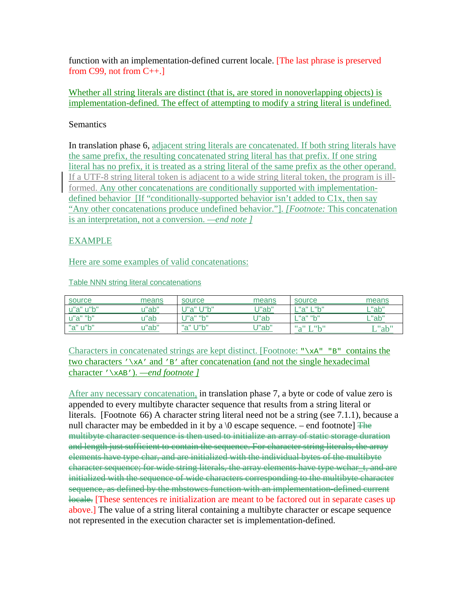function with an implementation-defined current locale. [The last phrase is preserved from  $C$ 99, not from  $C$ ++.]

Whether all string literals are distinct (that is, are stored in nonoverlapping objects) is implementation-defined. The effect of attempting to modify a string literal is undefined.

## **Semantics**

In translation phase 6, adjacent string literals are concatenated. If both string literals have the same prefix, the resulting concatenated string literal has that prefix. If one string literal has no prefix, it is treated as a string literal of the same prefix as the other operand. If a UTF-8 string literal token is adjacent to a wide string literal token, the program is illformed. Any other concatenations are conditionally supported with implementationdefined behavior [If "conditionally-supported behavior isn't added to C1x, then say "Any other concatenations produce undefined behavior."]. *[Footnote:* This concatenation is an interpretation, not a conversion. *—end note ]* 

# EXAMPLE

Here are some examples of valid concatenations:

Table NNN string literal concatenations

| source    | means | source                          | means   | source                                                           | means    |
|-----------|-------|---------------------------------|---------|------------------------------------------------------------------|----------|
| u"a" u"b" | u"ab" | "h" ا "م"!                      | J''ab'' | "a" I "h"                                                        | $L$ "ab" |
| u"a" "b"  | u"ab  | $\mathbb{P}^n$ $\mathbb{R}^n$   | J"ab    | $\mathbb{R}$ $\mathbb{R}$ $\mathbb{R}$ $\mathbb{R}$ $\mathbb{R}$ | ∟"ab"    |
| "a" u"b"  | u"ab" | $"$ $\sim$ " $\pm$ $"$ $\sim$ " | J"ab"   | $\mathbf{u}_0 \mathbf{u}$ in $\mathbf{u}_1 \mathbf{u}$           | L"ab"    |

Characters in concatenated strings are kept distinct. [Footnote: " $\lambda xA''''B''$ " contains the two characters  $\sqrt{xA'}$  and 'B' after concatenation (and not the single hexadecimal character '\xAB'). *—end footnote ]*

After any necessary concatenation, in translation phase 7, a byte or code of value zero is appended to every multibyte character sequence that results from a string literal or literals. [Footnote 66) A character string literal need not be a string (see 7.1.1), because a null character may be embedded in it by a  $\lozenge$  escape sequence. – end footnote]  $\frac{m}{\triangleq}$ multibyte character sequence is then used to initialize an array of static storage duration and length just sufficient to contain the sequence. For character string literals, the array elements have type char, and are initialized with the individual bytes of the multibyte character sequence; for wide string literals, the array elements have type wchar t, and are initialized with the sequence of wide characters corresponding to the multibyte character sequence, as defined by the mbstowcs function with an implementation-defined current locale. These sentences re initialization are meant to be factored out in separate cases up above.] The value of a string literal containing a multibyte character or escape sequence not represented in the execution character set is implementation-defined.